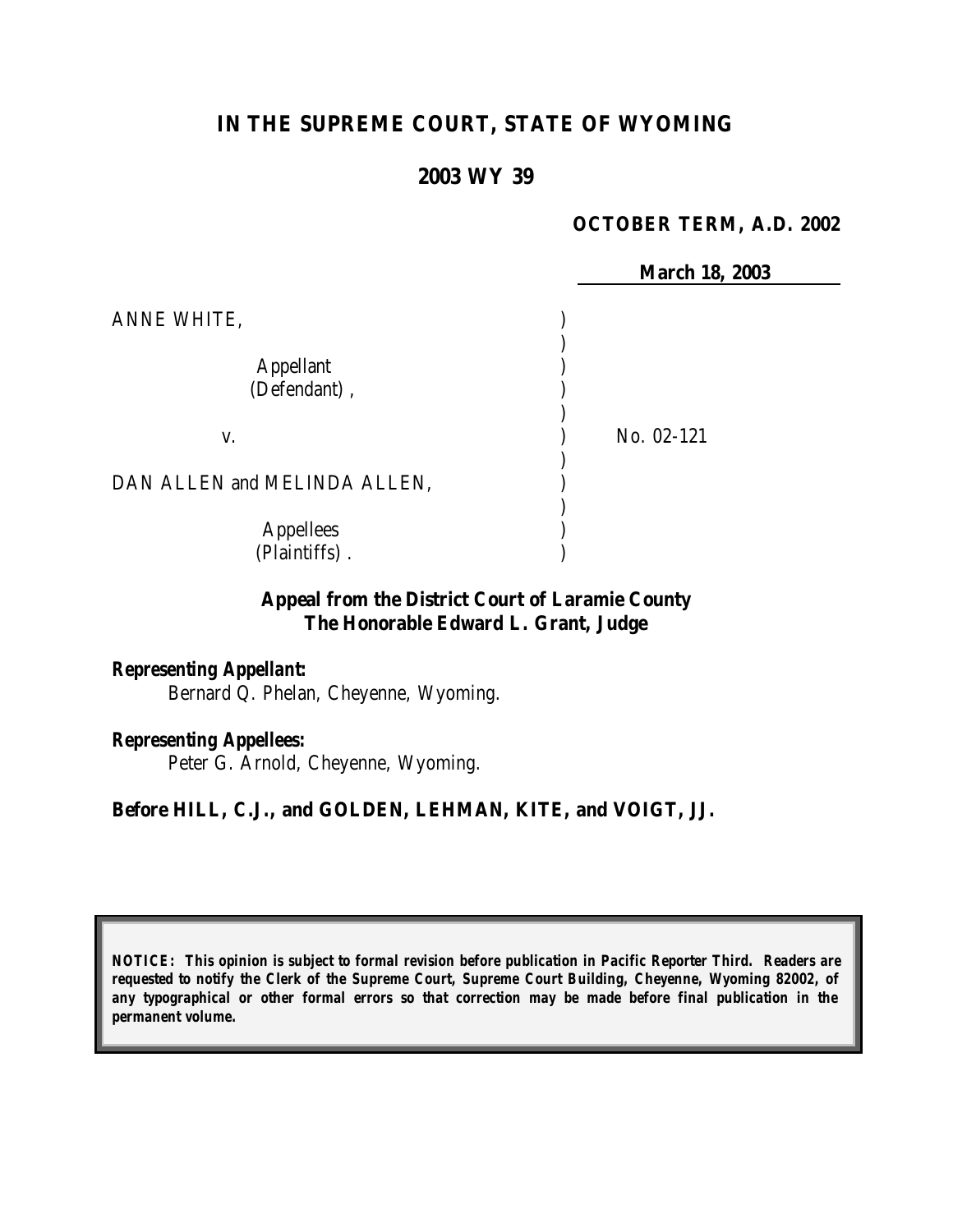# **IN THE SUPREME COURT, STATE OF WYOMING**

### **2003 WY 39**

#### **OCTOBER TERM, A.D. 2002**

 **March 18, 2003** ANNE WHITE. ) Appellant ) (Defendant), ) v. ) No. 02-121 ) DAN ALLEN and MELINDA ALLEN, ) Appellees ) (Plaintiffs) . )

# **Appeal from the District Court of Laramie County The Honorable Edward L. Grant, Judge**

#### *Representing Appellant:*

Bernard Q. Phelan, Cheyenne, Wyoming.

#### *Representing Appellees:*

Peter G. Arnold, Cheyenne, Wyoming.

#### **Before HILL, C.J., and GOLDEN, LEHMAN, KITE, and VOIGT, JJ.**

*NOTICE: This opinion is subject to formal revision before publication in Pacific Reporter Third. Readers are requested to notify the Clerk of the Supreme Court, Supreme Court Building, Cheyenne, Wyoming 82002, of any typographical or other formal errors so that correction may be made before final publication in the permanent volume.*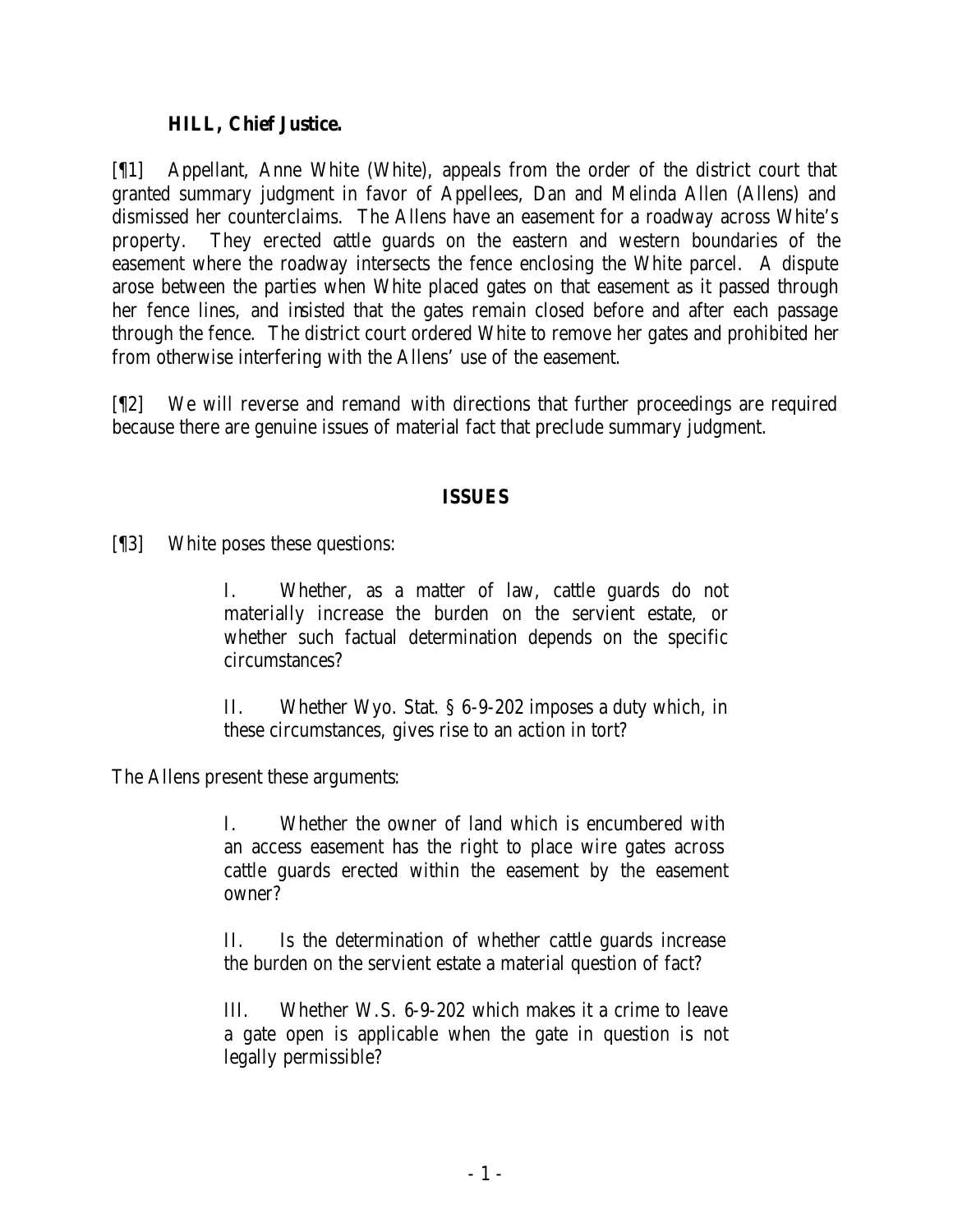### **HILL, Chief Justice.**

[¶1] Appellant, Anne White (White), appeals from the order of the district court that granted summary judgment in favor of Appellees, Dan and Melinda Allen (Allens) and dismissed her counterclaims. The Allens have an easement for a roadway across White's property. They erected cattle guards on the eastern and western boundaries of the easement where the roadway intersects the fence enclosing the White parcel. A dispute arose between the parties when White placed gates on that easement as it passed through her fence lines, and insisted that the gates remain closed before and after each passage through the fence. The district court ordered White to remove her gates and prohibited her from otherwise interfering with the Allens' use of the easement.

[¶2] We will reverse and remand with directions that further proceedings are required because there are genuine issues of material fact that preclude summary judgment.

### **ISSUES**

[¶3] White poses these questions:

I. Whether, as a matter of law, cattle guards do not materially increase the burden on the servient estate, or whether such factual determination depends on the specific circumstances?

II. Whether Wyo. Stat. § 6-9-202 imposes a duty which, in these circumstances, gives rise to an action in tort?

The Allens present these arguments:

I. Whether the owner of land which is encumbered with an access easement has the right to place wire gates across cattle guards erected within the easement by the easement owner?

II. Is the determination of whether cattle guards increase the burden on the servient estate a material question of fact?

III. Whether W.S. 6-9-202 which makes it a crime to leave a gate open is applicable when the gate in question is not legally permissible?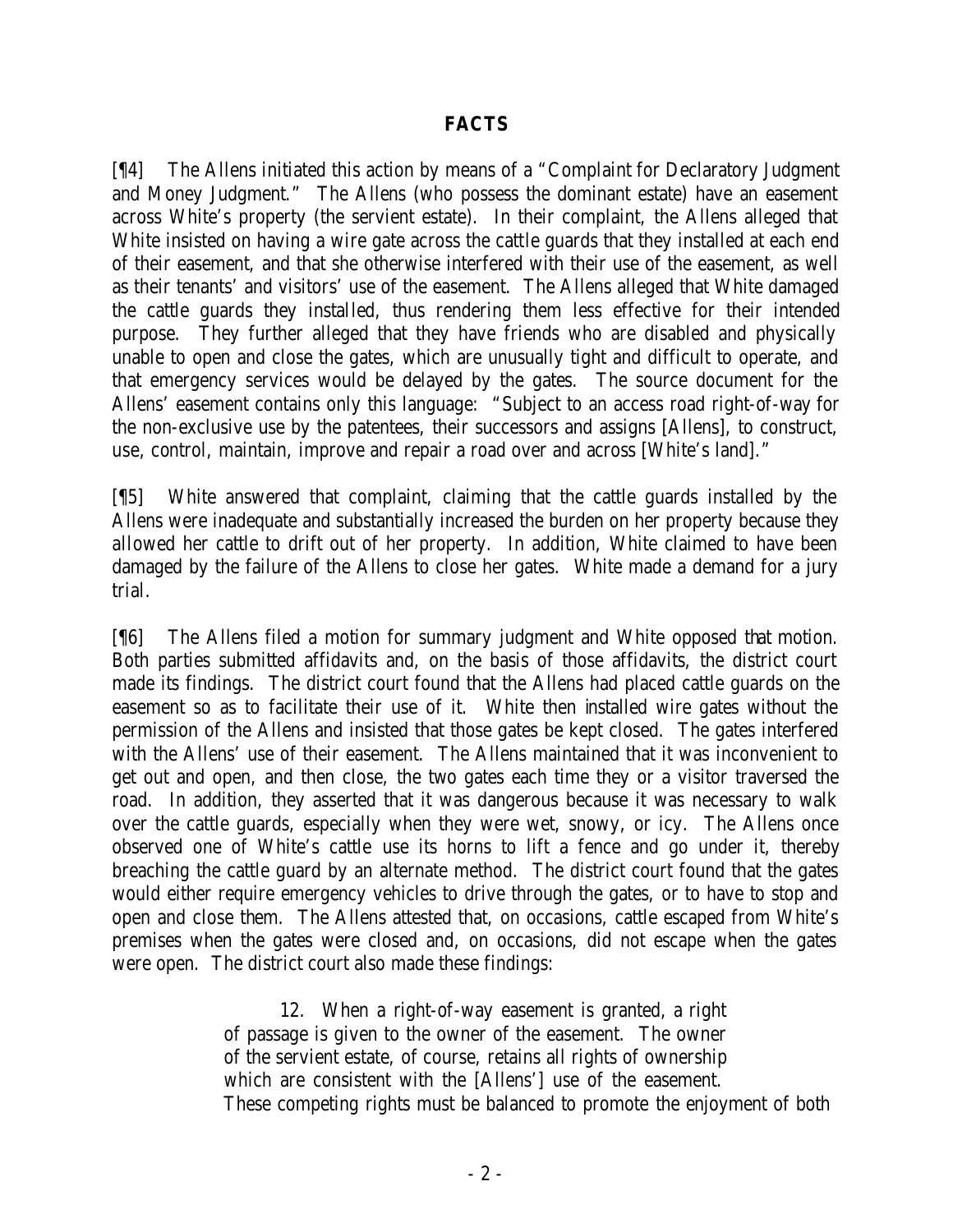#### **FACTS**

[¶4] The Allens initiated this action by means of a "Complaint for Declaratory Judgment and Money Judgment." The Allens (who possess the dominant estate) have an easement across White's property (the servient estate). In their complaint, the Allens alleged that White insisted on having a wire gate across the cattle guards that they installed at each end of their easement, and that she otherwise interfered with their use of the easement, as well as their tenants' and visitors' use of the easement. The Allens alleged that White damaged the cattle guards they installed, thus rendering them less effective for their intended purpose. They further alleged that they have friends who are disabled and physically unable to open and close the gates, which are unusually tight and difficult to operate, and that emergency services would be delayed by the gates. The source document for the Allens' easement contains only this language: "Subject to an access road right-of-way for the non-exclusive use by the patentees, their successors and assigns [Allens], to construct, use, control, maintain, improve and repair a road over and across [White's land]."

[¶5] White answered that complaint, claiming that the cattle guards installed by the Allens were inadequate and substantially increased the burden on her property because they allowed her cattle to drift out of her property. In addition, White claimed to have been damaged by the failure of the Allens to close her gates. White made a demand for a jury trial.

[¶6] The Allens filed a motion for summary judgment and White opposed that motion. Both parties submitted affidavits and, on the basis of those affidavits, the district court made its findings. The district court found that the Allens had placed cattle guards on the easement so as to facilitate their use of it. White then installed wire gates without the permission of the Allens and insisted that those gates be kept closed. The gates interfered with the Allens' use of their easement. The Allens maintained that it was inconvenient to get out and open, and then close, the two gates each time they or a visitor traversed the road. In addition, they asserted that it was dangerous because it was necessary to walk over the cattle guards, especially when they were wet, snowy, or icy. The Allens once observed one of White's cattle use its horns to lift a fence and go under it, thereby breaching the cattle guard by an alternate method. The district court found that the gates would either require emergency vehicles to drive through the gates, or to have to stop and open and close them. The Allens attested that, on occasions, cattle escaped from White's premises when the gates were closed and, on occasions, did not escape when the gates were open. The district court also made these findings:

> 12. When a right-of-way easement is granted, a right of passage is given to the owner of the easement. The owner of the servient estate, of course, retains all rights of ownership which are consistent with the [Allens'] use of the easement. These competing rights must be balanced to promote the enjoyment of both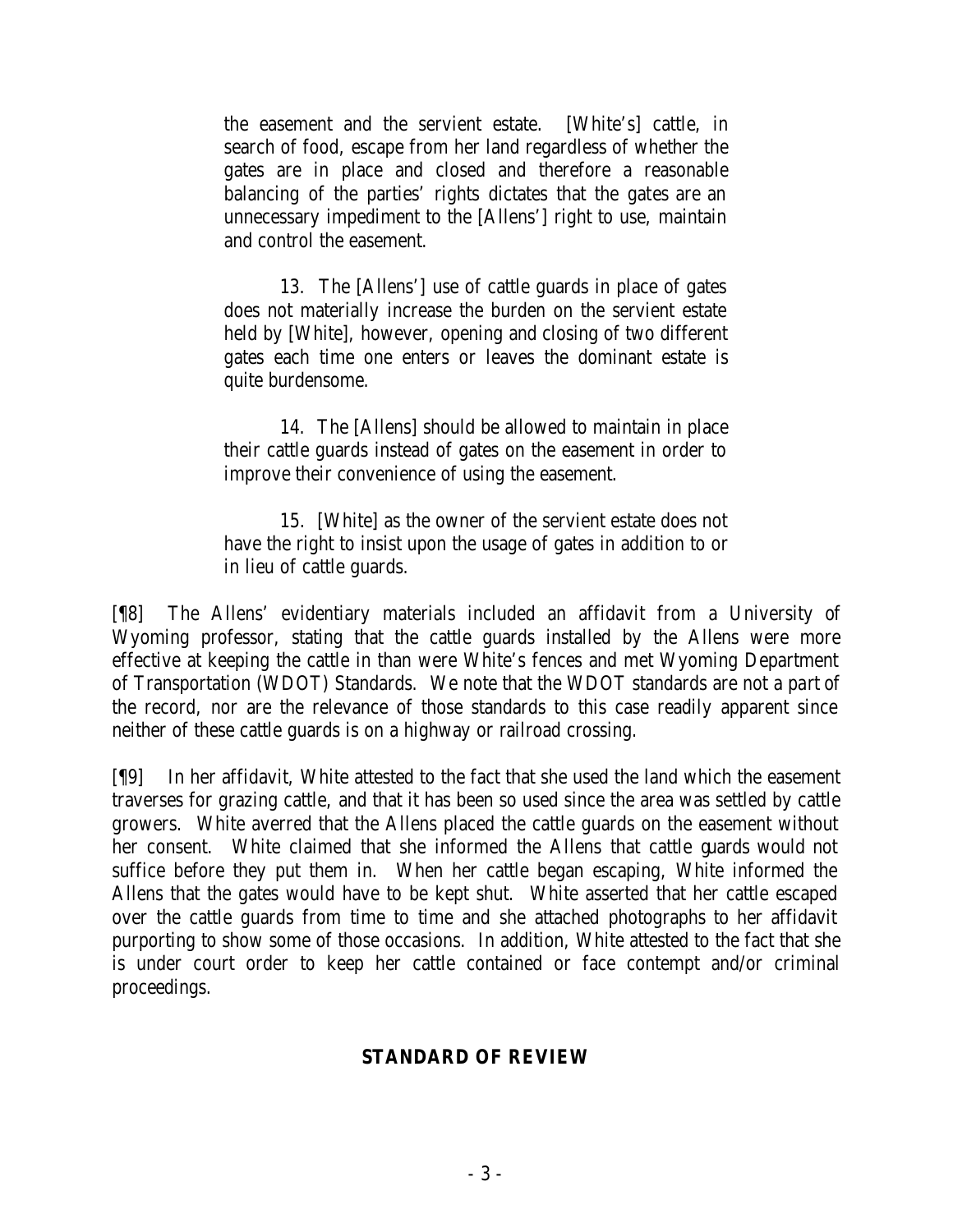the easement and the servient estate. [White's] cattle, in search of food, escape from her land regardless of whether the gates are in place and closed and therefore a reasonable balancing of the parties' rights dictates that the gates are an unnecessary impediment to the [Allens'] right to use, maintain and control the easement.

13. The [Allens'] use of cattle guards in place of gates does not materially increase the burden on the servient estate held by [White], however, opening and closing of two different gates each time one enters or leaves the dominant estate is quite burdensome.

14. The [Allens] should be allowed to maintain in place their cattle guards instead of gates on the easement in order to improve their convenience of using the easement.

15. [White] as the owner of the servient estate does not have the right to insist upon the usage of gates in addition to or in lieu of cattle guards.

[¶8] The Allens' evidentiary materials included an affidavit from a University of Wyoming professor, stating that the cattle guards installed by the Allens were more effective at keeping the cattle in than were White's fences and met Wyoming Department of Transportation (WDOT) Standards. We note that the WDOT standards are not a part of the record, nor are the relevance of those standards to this case readily apparent since neither of these cattle guards is on a highway or railroad crossing.

[¶9] In her affidavit, White attested to the fact that she used the land which the easement traverses for grazing cattle, and that it has been so used since the area was settled by cattle growers. White averred that the Allens placed the cattle guards on the easement without her consent. White claimed that she informed the Allens that cattle guards would not suffice before they put them in. When her cattle began escaping, White informed the Allens that the gates would have to be kept shut. White asserted that her cattle escaped over the cattle guards from time to time and she attached photographs to her affidavit purporting to show some of those occasions. In addition, White attested to the fact that she is under court order to keep her cattle contained or face contempt and/or criminal proceedings.

# **STANDARD OF REVIEW**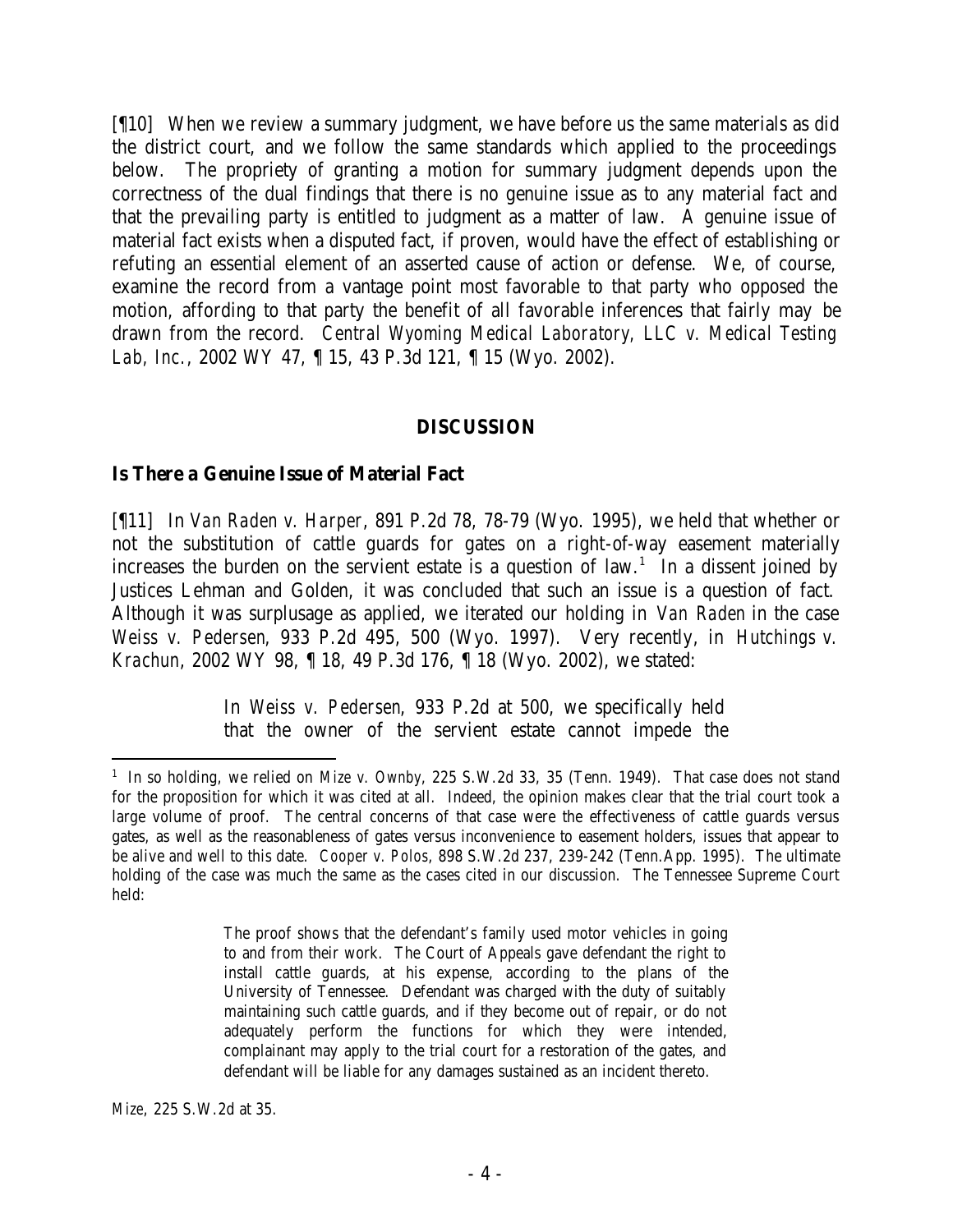[¶10] When we review a summary judgment, we have before us the same materials as did the district court, and we follow the same standards which applied to the proceedings below. The propriety of granting a motion for summary judgment depends upon the correctness of the dual findings that there is no genuine issue as to any material fact and that the prevailing party is entitled to judgment as a matter of law. A genuine issue of material fact exists when a disputed fact, if proven, would have the effect of establishing or refuting an essential element of an asserted cause of action or defense. We, of course, examine the record from a vantage point most favorable to that party who opposed the motion, affording to that party the benefit of all favorable inferences that fairly may be drawn from the record. *Central Wyoming Medical Laboratory, LLC v. Medical Testing Lab, Inc.*, 2002 WY 47, ¶ 15, 43 P.3d 121, ¶ 15 (Wyo. 2002).

#### **DISCUSSION**

#### **Is There a Genuine Issue of Material Fact**

[¶11] In *Van Raden v. Harper*, 891 P.2d 78, 78-79 (Wyo. 1995), we held that whether or not the substitution of cattle guards for gates on a right-of-way easement materially increases the burden on the servient estate is a question of  $law<sup>1</sup>$ . In a dissent joined by Justices Lehman and Golden, it was concluded that such an issue is a question of fact. Although it was surplusage as applied, we iterated our holding in *Van Raden* in the case *Weiss v. Pedersen*, 933 P.2d 495, 500 (Wyo. 1997). Very recently, in *Hutchings v. Krachun*, 2002 WY 98, ¶ 18, 49 P.3d 176, ¶ 18 (Wyo. 2002), we stated:

> In *Weiss v. Pedersen*, 933 P.2d at 500, we specifically held that the owner of the servient estate cannot impede the

The proof shows that the defendant's family used motor vehicles in going to and from their work. The Court of Appeals gave defendant the right to install cattle guards, at his expense, according to the plans of the University of Tennessee. Defendant was charged with the duty of suitably maintaining such cattle guards, and if they become out of repair, or do not adequately perform the functions for which they were intended, complainant may apply to the trial court for a restoration of the gates, and defendant will be liable for any damages sustained as an incident thereto.

<sup>&</sup>lt;sup>1</sup> In so holding, we relied on *Mize v. Ownby*, 225 S.W.2d 33, 35 (Tenn. 1949). That case does not stand for the proposition for which it was cited at all. Indeed, the opinion makes clear that the trial court took a large volume of proof. The central concerns of that case were the effectiveness of cattle guards versus gates, as well as the reasonableness of gates versus inconvenience to easement holders, issues that appear to be alive and well to this date. *Cooper v. Polos*, 898 S.W.2d 237, 239-242 (Tenn.App. 1995). The ultimate holding of the case was much the same as the cases cited in our discussion. The Tennessee Supreme Court held: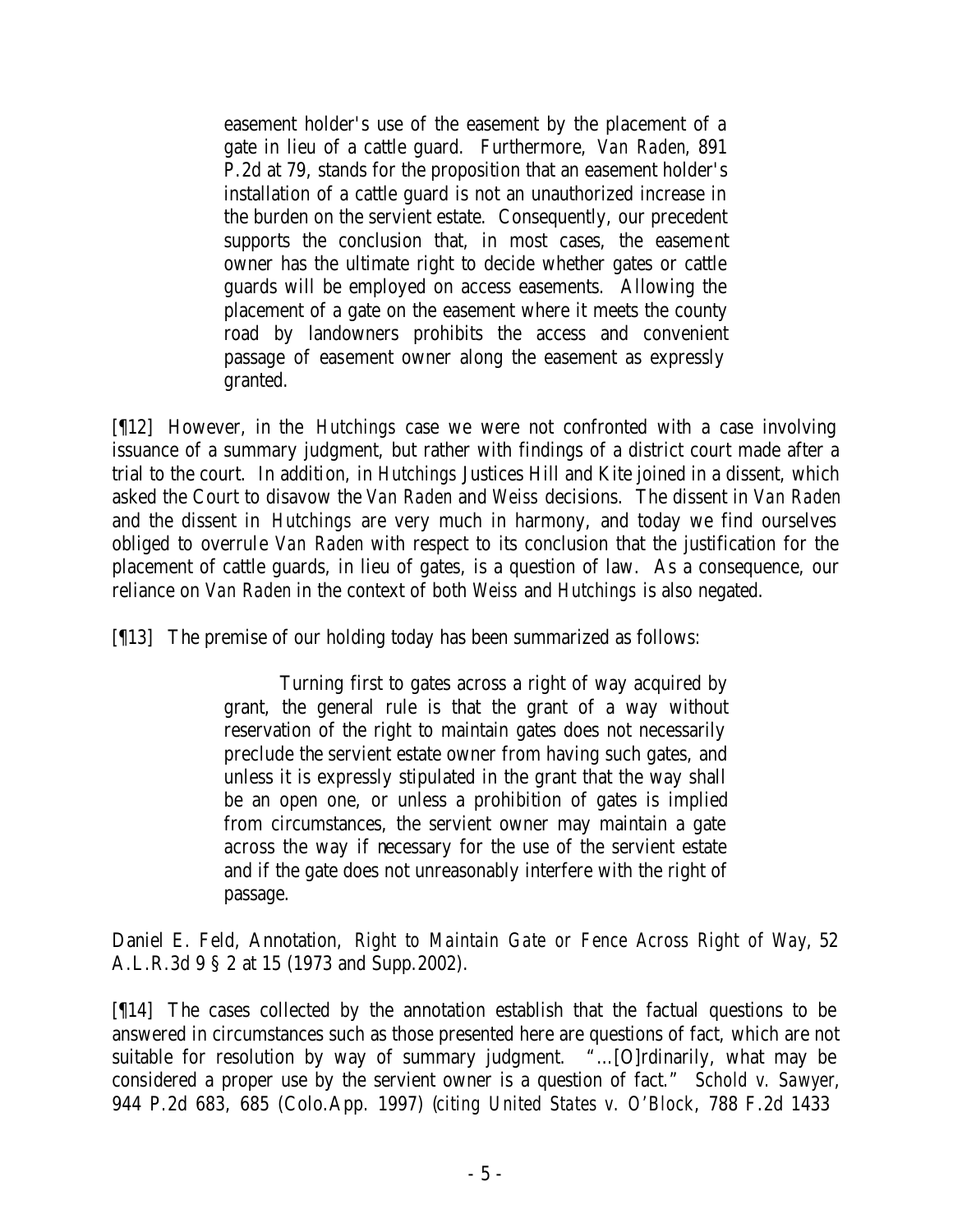easement holder's use of the easement by the placement of a gate in lieu of a cattle guard. Furthermore, *Van Raden*, 891 P.2d at 79, stands for the proposition that an easement holder's installation of a cattle guard is not an unauthorized increase in the burden on the servient estate. Consequently, our precedent supports the conclusion that, in most cases, the easement owner has the ultimate right to decide whether gates or cattle guards will be employed on access easements. Allowing the placement of a gate on the easement where it meets the county road by landowners prohibits the access and convenient passage of easement owner along the easement as expressly granted.

[¶12] However, in the *Hutchings* case we were not confronted with a case involving issuance of a summary judgment, but rather with findings of a district court made after a trial to the court. In addition, in *Hutchings* Justices Hill and Kite joined in a dissent, which asked the Court to disavow the *Van Raden* and *Weiss* decisions. The dissent in *Van Raden* and the dissent in *Hutchings* are very much in harmony, and today we find ourselves obliged to overrule *Van Raden* with respect to its conclusion that the justification for the placement of cattle guards, in lieu of gates, is a question of law. As a consequence, our reliance on *Van Raden* in the context of both *Weiss* and *Hutchings* is also negated.

[¶13] The premise of our holding today has been summarized as follows:

Turning first to gates across a right of way acquired by grant, the general rule is that the grant of a way without reservation of the right to maintain gates does not necessarily preclude the servient estate owner from having such gates, and unless it is expressly stipulated in the grant that the way shall be an open one, or unless a prohibition of gates is implied from circumstances, the servient owner may maintain a gate across the way if necessary for the use of the servient estate and if the gate does not unreasonably interfere with the right of passage.

Daniel E. Feld, Annotation, *Right to Maintain Gate or Fence Across Right of Way*, 52 A.L.R.3d 9 § 2 at 15 (1973 and Supp.2002).

[¶14] The cases collected by the annotation establish that the factual questions to be answered in circumstances such as those presented here are questions of fact, which are not suitable for resolution by way of summary judgment. "…[O]rdinarily, what may be considered a proper use by the servient owner is a question of fact." *Schold v. Sawyer*, 944 P.2d 683, 685 (Colo.App. 1997) (*citing United States v. O'Block*, 788 F.2d 1433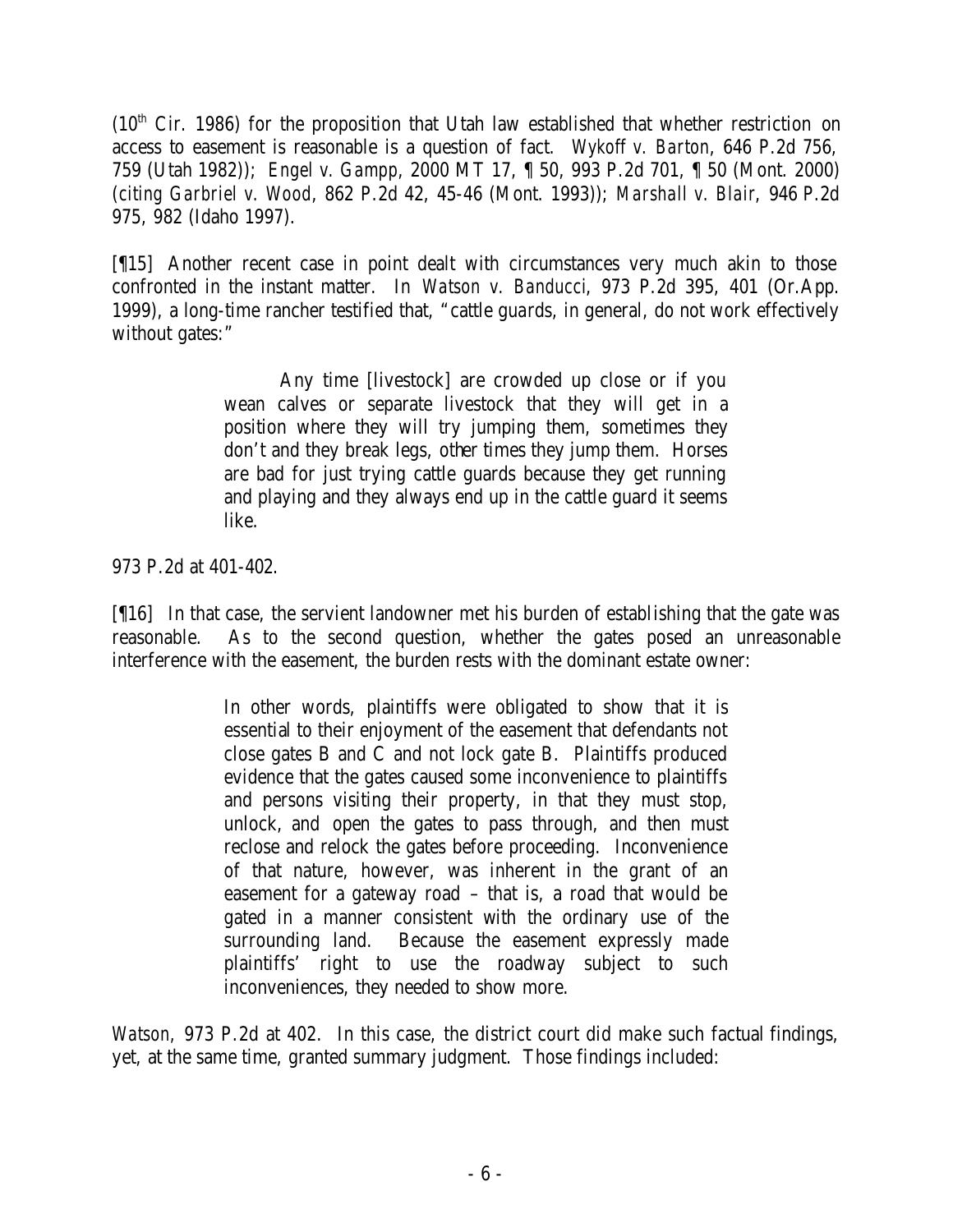( $10<sup>th</sup>$  Cir. 1986) for the proposition that Utah law established that whether restriction on access to easement is reasonable is a question of fact. *Wykoff v. Barton*, 646 P.2d 756, 759 (Utah 1982)); *Engel v. Gampp*, 2000 MT 17, ¶ 50, 993 P.2d 701, ¶ 50 (Mont. 2000) (*citing Garbriel v. Wood*, 862 P.2d 42, 45-46 (Mont. 1993)); *Marshall v. Blair*, 946 P.2d 975, 982 (Idaho 1997).

[¶15] Another recent case in point dealt with circumstances very much akin to those confronted in the instant matter. In *Watson v. Banducci*, 973 P.2d 395, 401 (Or.App. 1999), a long-time rancher testified that, "cattle guards, in general, do not work effectively without gates:"

> Any time [livestock] are crowded up close or if you wean calves or separate livestock that they will get in a position where they will try jumping them, sometimes they don't and they break legs, other times they jump them. Horses are bad for just trying cattle guards because they get running and playing and they always end up in the cattle guard it seems like.

973 P.2d at 401-402.

[¶16] In that case, the servient landowner met his burden of establishing that the gate was reasonable. As to the second question, whether the gates posed an unreasonable interference with the easement, the burden rests with the dominant estate owner:

> In other words, plaintiffs were obligated to show that it is essential to their enjoyment of the easement that defendants not close gates B and C and not lock gate B. Plaintiffs produced evidence that the gates caused some inconvenience to plaintiffs and persons visiting their property, in that they must stop, unlock, and open the gates to pass through, and then must reclose and relock the gates before proceeding. Inconvenience of that nature, however, was inherent in the grant of an easement for a gateway road – that is, a road that would be gated in a manner consistent with the ordinary use of the surrounding land. Because the easement expressly made plaintiffs' right to use the roadway subject to such inconveniences, they needed to show more.

*Watson,* 973 P.2d at 402. In this case, the district court did make such factual findings, yet, at the same time, granted summary judgment. Those findings included: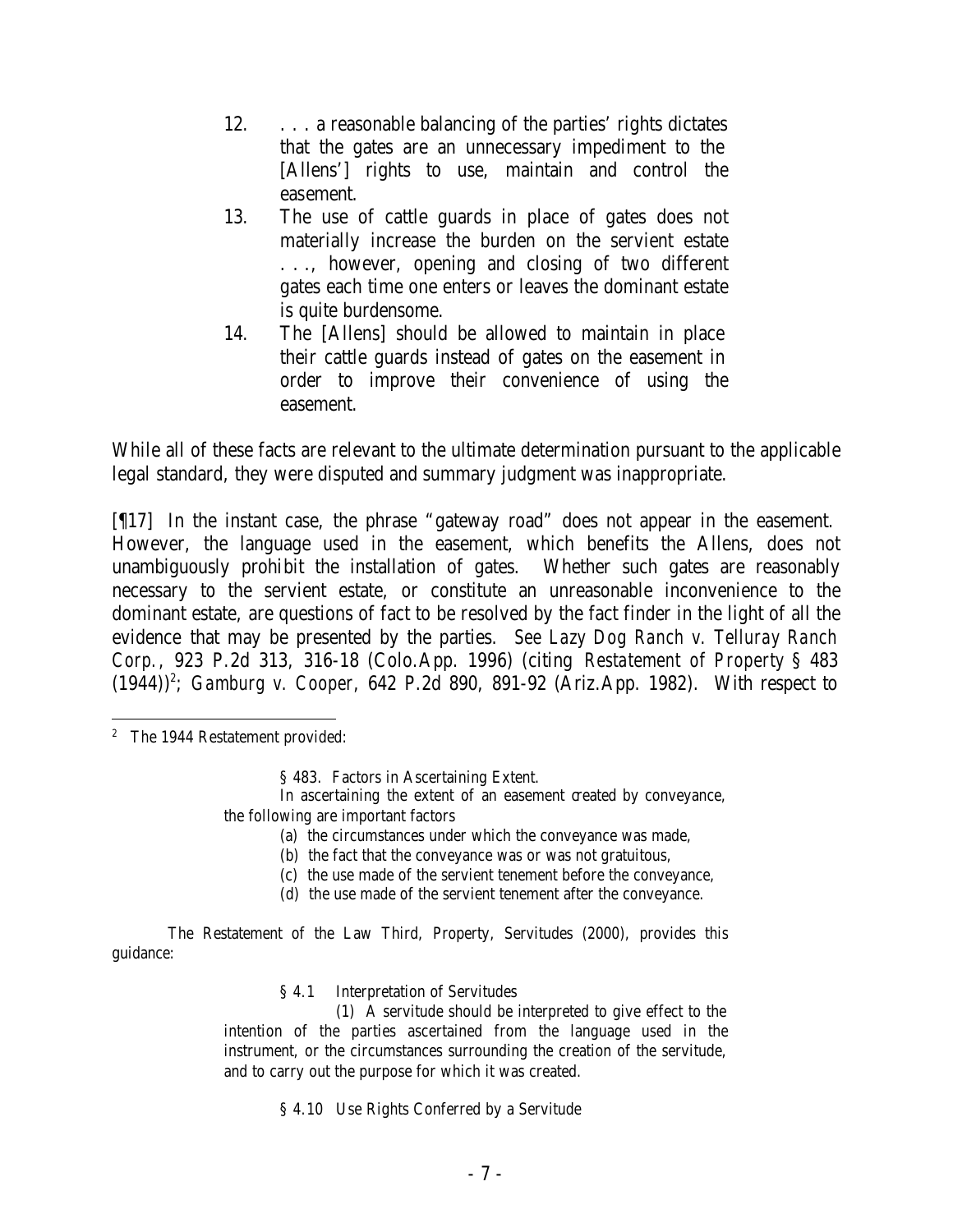- 12. . . . a reasonable balancing of the parties' rights dictates that the gates are an unnecessary impediment to the [Allens'] rights to use, maintain and control the easement.
- 13. The use of cattle guards in place of gates does not materially increase the burden on the servient estate . . ., however, opening and closing of two different gates each time one enters or leaves the dominant estate is quite burdensome.
- 14. The [Allens] should be allowed to maintain in place their cattle guards instead of gates on the easement in order to improve their convenience of using the easement.

While all of these facts are relevant to the ultimate determination pursuant to the applicable legal standard, they were disputed and summary judgment was inappropriate.

[¶17] In the instant case, the phrase "gateway road" does not appear in the easement. However, the language used in the easement, which benefits the Allens, does not unambiguously prohibit the installation of gates. Whether such gates are reasonably necessary to the servient estate, or constitute an unreasonable inconvenience to the dominant estate, are questions of fact to be resolved by the fact finder in the light of all the evidence that may be presented by the parties. *See Lazy Dog Ranch v. Telluray Ranch Corp.*, 923 P.2d 313, 316-18 (Colo.App. 1996) (citing *Restatement of Property* § 483  $(1944)^2$ ; *Gamburg v. Cooper*, 642 P.2d 890, 891-92 (Ariz.App. 1982). With respect to

§ 483. Factors in Ascertaining Extent.

In ascertaining the extent of an easement created by conveyance, the following are important factors

- (a) the circumstances under which the conveyance was made,
- (b) the fact that the conveyance was or was not gratuitous,
- (c) the use made of the servient tenement before the conveyance,
- (d) the use made of the servient tenement after the conveyance.

The Restatement of the Law Third, Property, Servitudes (2000), provides this guidance:

§ 4.1 Interpretation of Servitudes

(1) A servitude should be interpreted to give effect to the intention of the parties ascertained from the language used in the instrument, or the circumstances surrounding the creation of the servitude, and to carry out the purpose for which it was created.

§ 4.10 Use Rights Conferred by a Servitude

 <sup>2</sup> The 1944 Restatement provided: